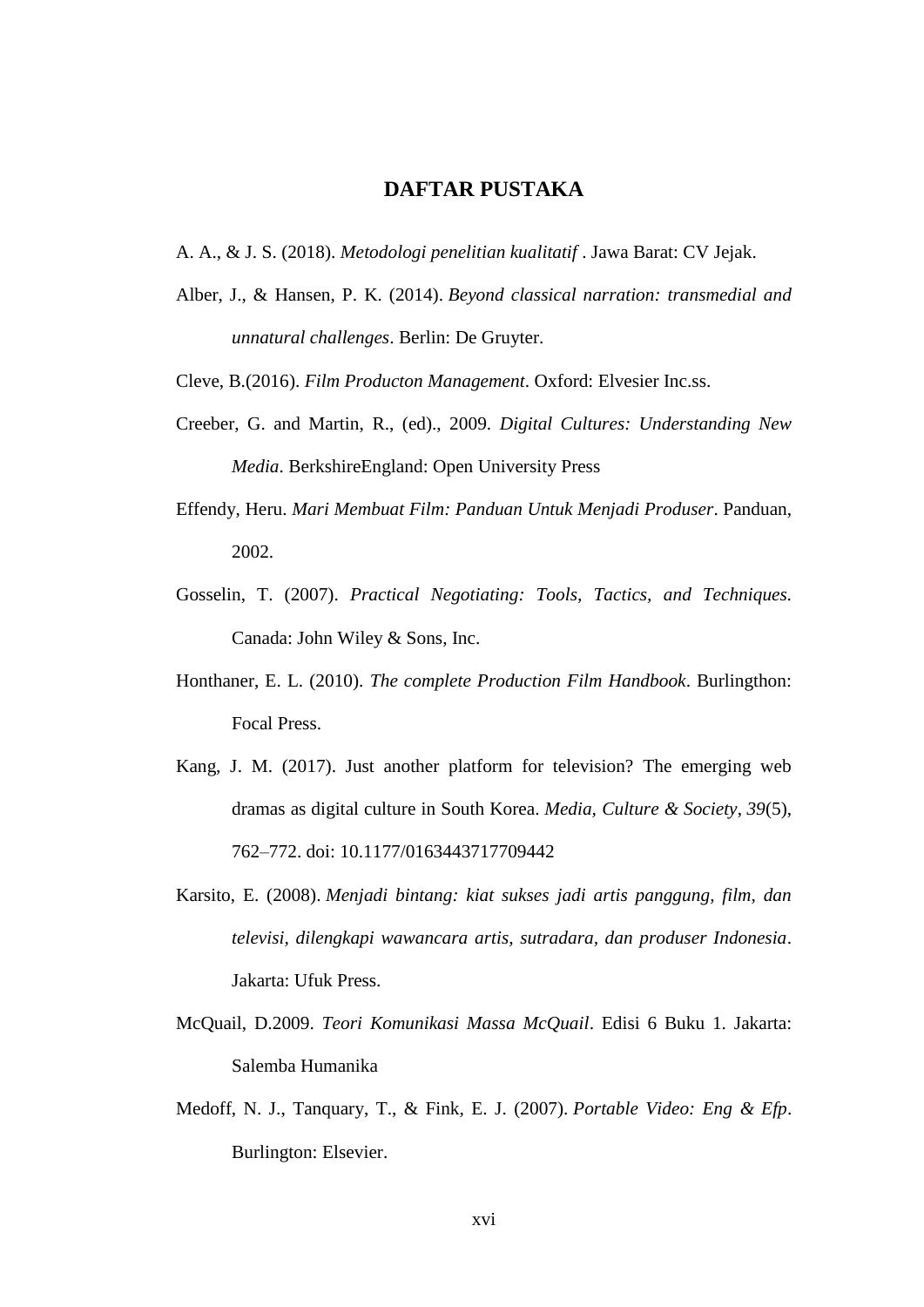## **DAFTAR PUSTAKA**

- A. A., & J. S. (2018). *Metodologi penelitian kualitatif* . Jawa Barat: CV Jejak.
- Alber, J., & Hansen, P. K. (2014). *Beyond classical narration: transmedial and unnatural challenges*. Berlin: De Gruyter.
- Cleve, B.(2016). *Film Producton Management*. Oxford: Elvesier Inc.ss.
- Creeber, G. and Martin, R., (ed)., 2009. *Digital Cultures: Understanding New Media*. BerkshireEngland: Open University Press
- Effendy, Heru. *Mari Membuat Film: Panduan Untuk Menjadi Produser*. Panduan, 2002.
- Gosselin, T. (2007). *Practical Negotiating: Tools, Tactics, and Techniques.*  Canada: John Wiley & Sons, Inc.
- Honthaner, E. L. (2010). *The complete Production Film Handbook*. Burlingthon: Focal Press.
- Kang, J. M. (2017). Just another platform for television? The emerging web dramas as digital culture in South Korea. *Media, Culture & Society*, *39*(5), 762–772. doi: 10.1177/0163443717709442
- Karsito, E. (2008). *Menjadi bintang: kiat sukses jadi artis panggung, film, dan televisi, dilengkapi wawancara artis, sutradara, dan produser Indonesia*. Jakarta: Ufuk Press.
- McQuail, D.2009. *Teori Komunikasi Massa McQuail*. Edisi 6 Buku 1. Jakarta: Salemba Humanika
- Medoff, N. J., Tanquary, T., & Fink, E. J. (2007). *Portable Video: Eng & Efp*. Burlington: Elsevier.